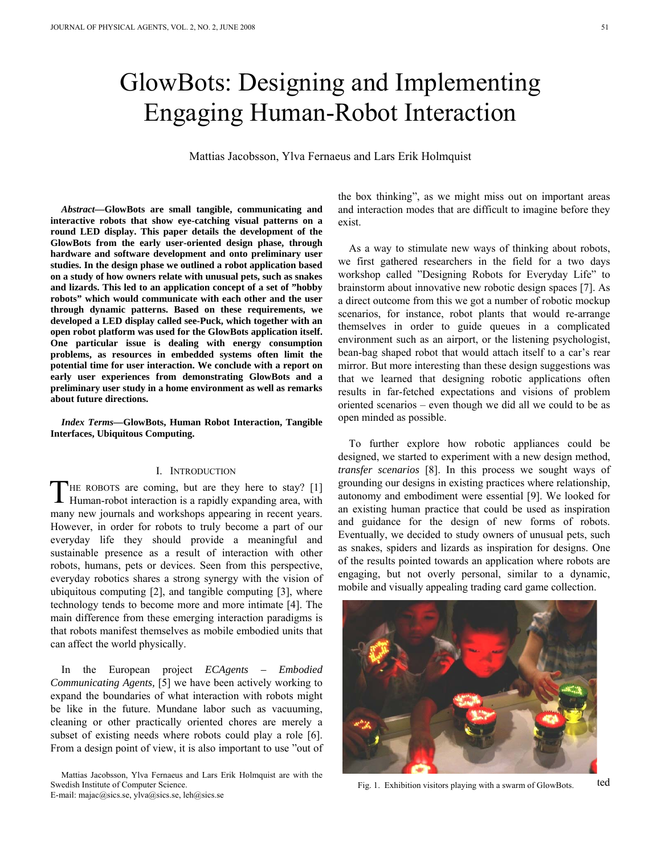# GlowBots: Designing and Implementing Engaging Human-Robot Interaction

Mattias Jacobsson, Ylva Fernaeus and Lars Erik Holmquist

*Abstract***—GlowBots are small tangible, communicating and interactive robots that show eye-catching visual patterns on a round LED display. This paper details the development of the GlowBots from the early user-oriented design phase, through hardware and software development and onto preliminary user studies. In the design phase we outlined a robot application based on a study of how owners relate with unusual pets, such as snakes and lizards. This led to an application concept of a set of "hobby robots" which would communicate with each other and the user through dynamic patterns. Based on these requirements, we developed a LED display called see-Puck, which together with an open robot platform was used for the GlowBots application itself. One particular issue is dealing with energy consumption problems, as resources in embedded systems often limit the potential time for user interaction. We conclude with a report on early user experiences from demonstrating GlowBots and a preliminary user study in a home environment as well as remarks about future directions.** 

*Index Terms***—GlowBots, Human Robot Interaction, Tangible Interfaces, Ubiquitous Computing.** 

#### I. INTRODUCTION

HE ROBOTS are coming, but are they here to stay? [1] THE ROBOTS are coming, but are they here to stay? [1] Human-robot interaction is a rapidly expanding area, with many new journals and workshops appearing in recent years. However, in order for robots to truly become a part of our everyday life they should provide a meaningful and sustainable presence as a result of interaction with other robots, humans, pets or devices. Seen from this perspective, everyday robotics shares a strong synergy with the vision of ubiquitous computing [2], and tangible computing [3], where technology tends to become more and more intimate [4]. The main difference from these emerging interaction paradigms is that robots manifest themselves as mobile embodied units that can affect the world physically.

In the European project *ECAgents – Embodied Communicating Agents,* [5] we have been actively working to expand the boundaries of what interaction with robots might be like in the future. Mundane labor such as vacuuming, cleaning or other practically oriented chores are merely a subset of existing needs where robots could play a role [6]. From a design point of view, it is also important to use "out of

Mattias Jacobsson, Ylva Fernaeus and Lars Erik Holmquist are with the Swedish Institute of Computer Science. E-mail: majac@sics.se, ylva@sics.se, leh@sics.se

the box thinking", as we might miss out on important areas and interaction modes that are difficult to imagine before they exist.

As a way to stimulate new ways of thinking about robots, we first gathered researchers in the field for a two days workshop called "Designing Robots for Everyday Life" to brainstorm about innovative new robotic design spaces [7]. As a direct outcome from this we got a number of robotic mockup scenarios, for instance, robot plants that would re-arrange themselves in order to guide queues in a complicated environment such as an airport, or the listening psychologist, bean-bag shaped robot that would attach itself to a car's rear mirror. But more interesting than these design suggestions was that we learned that designing robotic applications often results in far-fetched expectations and visions of problem oriented scenarios – even though we did all we could to be as open minded as possible.

To further explore how robotic appliances could be designed, we started to experiment with a new design method, *transfer scenarios* [8]. In this process we sought ways of grounding our designs in existing practices where relationship, autonomy and embodiment were essential [9]. We looked for an existing human practice that could be used as inspiration and guidance for the design of new forms of robots. Eventually, we decided to study owners of unusual pets, such as snakes, spiders and lizards as inspiration for designs. One of the results pointed towards an application where robots are engaging, but not overly personal, similar to a dynamic, mobile and visually appealing trading card game collection.



Fig. 1. Exhibition visitors playing with a swarm of GlowBots. ted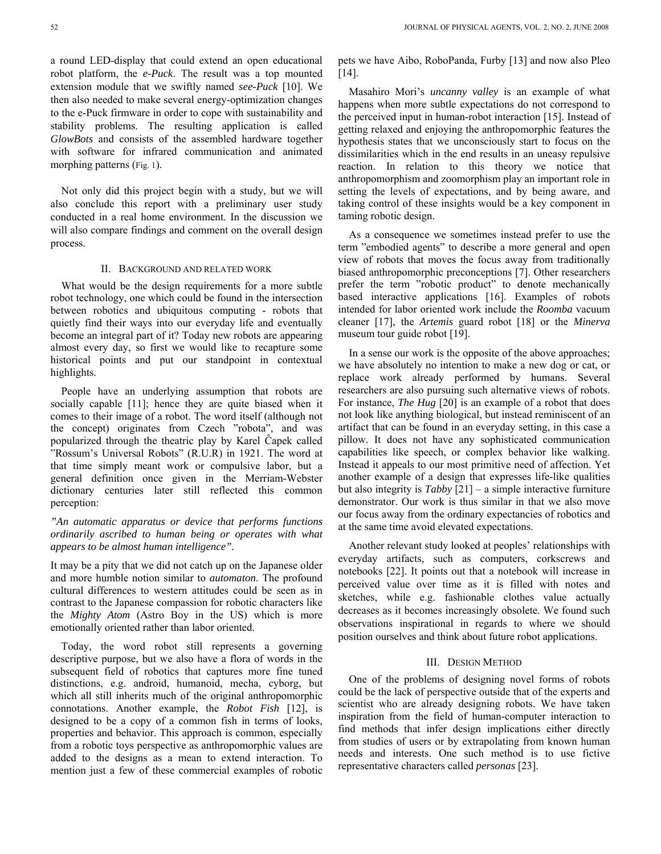a round LED-display that could extend an open educational robot platform, the *e-Puck*. The result was a top mounted extension module that we swiftly named *see-Puck* [10]. We then also needed to make several energy-optimization changes to the e-Puck firmware in order to cope with sustainability and stability problems. The resulting application is called *GlowBots* and consists of the assembled hardware together with software for infrared communication and animated morphing patterns (Fig. 1).

Not only did this project begin with a study, but we will also conclude this report with a preliminary user study conducted in a real home environment. In the discussion we will also compare findings and comment on the overall design process.

### II. BACKGROUND AND RELATED WORK

What would be the design requirements for a more subtle robot technology, one which could be found in the intersection between robotics and ubiquitous computing - robots that quietly find their ways into our everyday life and eventually become an integral part of it? Today new robots are appearing almost every day, so first we would like to recapture some historical points and put our standpoint in contextual highlights.

People have an underlying assumption that robots are socially capable [11]; hence they are quite biased when it comes to their image of a robot. The word itself (although not the concept) originates from Czech "robota", and was popularized through the theatric play by Karel Ĉapek called "Rossum's Universal Robots" (R.U.R) in 1921. The word at that time simply meant work or compulsive labor, but a general definition once given in the Merriam-Webster dictionary centuries later still reflected this common perception:

## *"An automatic apparatus or device that performs functions ordinarily ascribed to human being or operates with what appears to be almost human intelligence".*

It may be a pity that we did not catch up on the Japanese older and more humble notion similar to *automaton*. The profound cultural differences to western attitudes could be seen as in contrast to the Japanese compassion for robotic characters like the *Mighty Atom* (Astro Boy in the US) which is more emotionally oriented rather than labor oriented.

Today, the word robot still represents a governing descriptive purpose, but we also have a flora of words in the subsequent field of robotics that captures more fine tuned distinctions, e.g. android, humanoid, mecha, cyborg, but which all still inherits much of the original anthropomorphic connotations. Another example, the *Robot Fish* [12], is designed to be a copy of a common fish in terms of looks, properties and behavior. This approach is common, especially from a robotic toys perspective as anthropomorphic values are added to the designs as a mean to extend interaction. To mention just a few of these commercial examples of robotic pets we have Aibo, RoboPanda, Furby [13] and now also Pleo [14].

Masahiro Mori's *uncanny valley* is an example of what happens when more subtle expectations do not correspond to the perceived input in human-robot interaction [15]. Instead of getting relaxed and enjoying the anthropomorphic features the hypothesis states that we unconsciously start to focus on the dissimilarities which in the end results in an uneasy repulsive reaction. In relation to this theory we notice that anthropomorphism and zoomorphism play an important role in setting the levels of expectations, and by being aware, and taking control of these insights would be a key component in taming robotic design.

As a consequence we sometimes instead prefer to use the term "embodied agents" to describe a more general and open view of robots that moves the focus away from traditionally biased anthropomorphic preconceptions [7]. Other researchers prefer the term "robotic product" to denote mechanically based interactive applications [16]. Examples of robots intended for labor oriented work include the *Roomba* vacuum cleaner [17], the *Artemis* guard robot [18] or the *Minerva* museum tour guide robot [19].

In a sense our work is the opposite of the above approaches; we have absolutely no intention to make a new dog or cat, or replace work already performed by humans. Several researchers are also pursuing such alternative views of robots. For instance, *The Hug* [20] is an example of a robot that does not look like anything biological, but instead reminiscent of an artifact that can be found in an everyday setting, in this case a pillow. It does not have any sophisticated communication capabilities like speech, or complex behavior like walking. Instead it appeals to our most primitive need of affection. Yet another example of a design that expresses life-like qualities but also integrity is *Tabby* [21] – a simple interactive furniture demonstrator. Our work is thus similar in that we also move our focus away from the ordinary expectancies of robotics and at the same time avoid elevated expectations.

Another relevant study looked at peoples' relationships with everyday artifacts, such as computers, corkscrews and notebooks [22]. It points out that a notebook will increase in perceived value over time as it is filled with notes and sketches, while e.g. fashionable clothes value actually decreases as it becomes increasingly obsolete. We found such observations inspirational in regards to where we should position ourselves and think about future robot applications.

#### III. DESIGN METHOD

One of the problems of designing novel forms of robots could be the lack of perspective outside that of the experts and scientist who are already designing robots. We have taken inspiration from the field of human-computer interaction to find methods that infer design implications either directly from studies of users or by extrapolating from known human needs and interests. One such method is to use fictive representative characters called *personas* [23].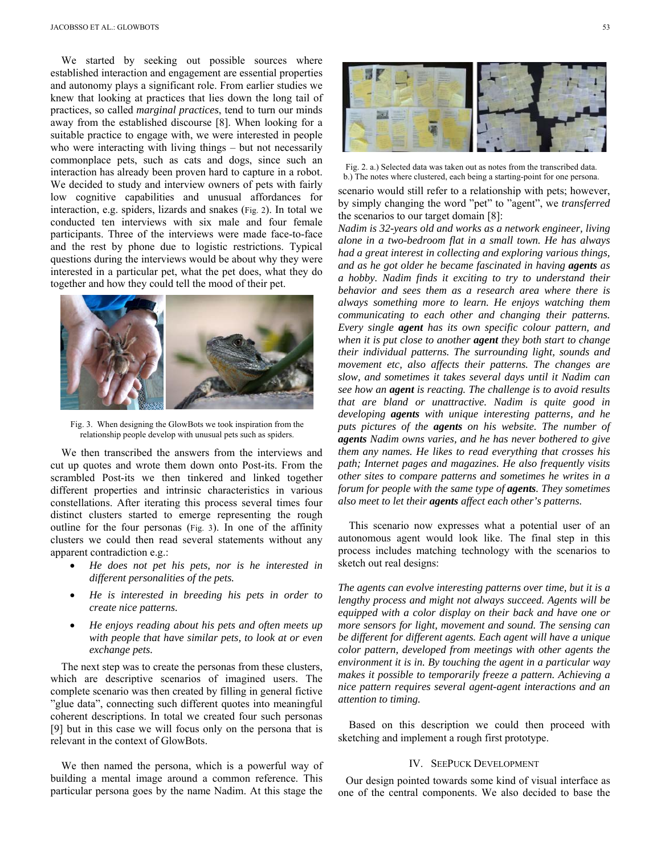We started by seeking out possible sources where established interaction and engagement are essential properties and autonomy plays a significant role. From earlier studies we knew that looking at practices that lies down the long tail of practices, so called *marginal practices*, tend to turn our minds away from the established discourse [8]. When looking for a suitable practice to engage with, we were interested in people who were interacting with living things – but not necessarily commonplace pets, such as cats and dogs, since such an interaction has already been proven hard to capture in a robot. We decided to study and interview owners of pets with fairly low cognitive capabilities and unusual affordances for interaction, e.g. spiders, lizards and snakes (Fig. 2). In total we conducted ten interviews with six male and four female participants. Three of the interviews were made face-to-face and the rest by phone due to logistic restrictions. Typical questions during the interviews would be about why they were interested in a particular pet, what the pet does, what they do together and how they could tell the mood of their pet.



Fig. 3. When designing the GlowBots we took inspiration from the relationship people develop with unusual pets such as spiders.

We then transcribed the answers from the interviews and cut up quotes and wrote them down onto Post-its. From the scrambled Post-its we then tinkered and linked together different properties and intrinsic characteristics in various constellations. After iterating this process several times four distinct clusters started to emerge representing the rough outline for the four personas (Fig. 3). In one of the affinity clusters we could then read several statements without any apparent contradiction e.g.:

- *He does not pet his pets, nor is he interested in different personalities of the pets.*
- *He is interested in breeding his pets in order to create nice patterns.*
- *He enjoys reading about his pets and often meets up with people that have similar pets, to look at or even exchange pets.*

The next step was to create the personas from these clusters, which are descriptive scenarios of imagined users. The complete scenario was then created by filling in general fictive "glue data", connecting such different quotes into meaningful coherent descriptions. In total we created four such personas [9] but in this case we will focus only on the persona that is relevant in the context of GlowBots.

 We then named the persona, which is a powerful way of building a mental image around a common reference. This particular persona goes by the name Nadim. At this stage the

Fig. 2. a.) Selected data was taken out as notes from the transcribed data. b.) The notes where clustered, each being a starting-point for one persona.

scenario would still refer to a relationship with pets; however, by simply changing the word "pet" to "agent", we *transferred* the scenarios to our target domain [8]:

*Nadim is 32-years old and works as a network engineer, living alone in a two-bedroom flat in a small town. He has always had a great interest in collecting and exploring various things, and as he got older he became fascinated in having agents as a hobby. Nadim finds it exciting to try to understand their behavior and sees them as a research area where there is always something more to learn. He enjoys watching them communicating to each other and changing their patterns. Every single agent has its own specific colour pattern, and when it is put close to another agent they both start to change their individual patterns. The surrounding light, sounds and movement etc, also affects their patterns. The changes are slow, and sometimes it takes several days until it Nadim can see how an agent is reacting. The challenge is to avoid results that are bland or unattractive. Nadim is quite good in developing agents with unique interesting patterns, and he puts pictures of the agents on his website. The number of agents Nadim owns varies, and he has never bothered to give them any names. He likes to read everything that crosses his path; Internet pages and magazines. He also frequently visits other sites to compare patterns and sometimes he writes in a forum for people with the same type of agents. They sometimes also meet to let their agents affect each other's patterns.* 

This scenario now expresses what a potential user of an autonomous agent would look like. The final step in this process includes matching technology with the scenarios to sketch out real designs:

*The agents can evolve interesting patterns over time, but it is a lengthy process and might not always succeed. Agents will be equipped with a color display on their back and have one or more sensors for light, movement and sound. The sensing can be different for different agents. Each agent will have a unique color pattern, developed from meetings with other agents the environment it is in. By touching the agent in a particular way makes it possible to temporarily freeze a pattern. Achieving a nice pattern requires several agent-agent interactions and an attention to timing.* 

Based on this description we could then proceed with sketching and implement a rough first prototype.

## IV. SEEPUCK DEVELOPMENT

Our design pointed towards some kind of visual interface as one of the central components. We also decided to base the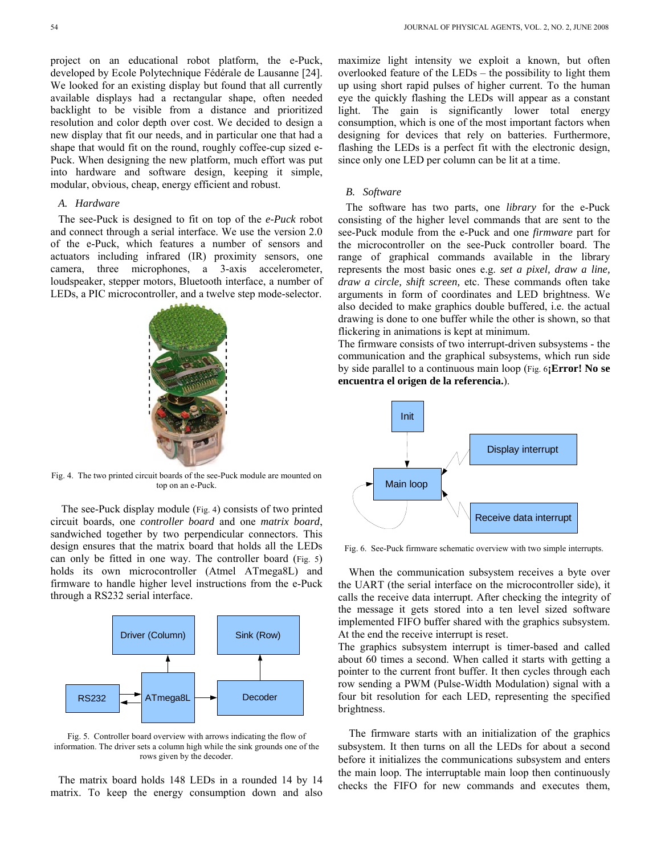project on an educational robot platform, the e-Puck, developed by Ecole Polytechnique Fédérale de Lausanne [24]. We looked for an existing display but found that all currently available displays had a rectangular shape, often needed backlight to be visible from a distance and prioritized resolution and color depth over cost. We decided to design a new display that fit our needs, and in particular one that had a shape that would fit on the round, roughly coffee-cup sized e-Puck. When designing the new platform, much effort was put into hardware and software design, keeping it simple, modular, obvious, cheap, energy efficient and robust.

#### *A. Hardware*

The see-Puck is designed to fit on top of the *e-Puck* robot and connect through a serial interface. We use the version 2.0 of the e-Puck, which features a number of sensors and actuators including infrared (IR) proximity sensors, one camera, three microphones, a 3-axis accelerometer, loudspeaker, stepper motors, Bluetooth interface, a number of LEDs, a PIC microcontroller, and a twelve step mode-selector.



Fig. 4. The two printed circuit boards of the see-Puck module are mounted on top on an e-Puck.

The see-Puck display module (Fig. 4) consists of two printed circuit boards, one *controller board* and one *matrix board*, sandwiched together by two perpendicular connectors. This design ensures that the matrix board that holds all the LEDs can only be fitted in one way. The controller board (Fig. 5) holds its own microcontroller (Atmel ATmega8L) and firmware to handle higher level instructions from the e-Puck through a RS232 serial interface.



Fig. 5. Controller board overview with arrows indicating the flow of information. The driver sets a column high while the sink grounds one of the rows given by the decoder.

The matrix board holds 148 LEDs in a rounded 14 by 14 matrix. To keep the energy consumption down and also maximize light intensity we exploit a known, but often overlooked feature of the LEDs – the possibility to light them up using short rapid pulses of higher current. To the human eye the quickly flashing the LEDs will appear as a constant light. The gain is significantly lower total energy consumption, which is one of the most important factors when designing for devices that rely on batteries. Furthermore, flashing the LEDs is a perfect fit with the electronic design, since only one LED per column can be lit at a time.

## *B. Software*

The software has two parts, one *library* for the e-Puck consisting of the higher level commands that are sent to the see-Puck module from the e-Puck and one *firmware* part for the microcontroller on the see-Puck controller board. The range of graphical commands available in the library represents the most basic ones e.g. *set a pixel, draw a line, draw a circle, shift screen,* etc. These commands often take arguments in form of coordinates and LED brightness. We also decided to make graphics double buffered, i.e. the actual drawing is done to one buffer while the other is shown, so that flickering in animations is kept at minimum.

The firmware consists of two interrupt-driven subsystems - the communication and the graphical subsystems, which run side by side parallel to a continuous main loop (Fig. 6**¡Error! No se encuentra el origen de la referencia.**).



Fig. 6. See-Puck firmware schematic overview with two simple interrupts.

When the communication subsystem receives a byte over the UART (the serial interface on the microcontroller side), it calls the receive data interrupt. After checking the integrity of the message it gets stored into a ten level sized software implemented FIFO buffer shared with the graphics subsystem. At the end the receive interrupt is reset.

The graphics subsystem interrupt is timer-based and called about 60 times a second. When called it starts with getting a pointer to the current front buffer. It then cycles through each row sending a PWM (Pulse-Width Modulation) signal with a four bit resolution for each LED, representing the specified brightness.

The firmware starts with an initialization of the graphics subsystem. It then turns on all the LEDs for about a second before it initializes the communications subsystem and enters the main loop. The interruptable main loop then continuously checks the FIFO for new commands and executes them,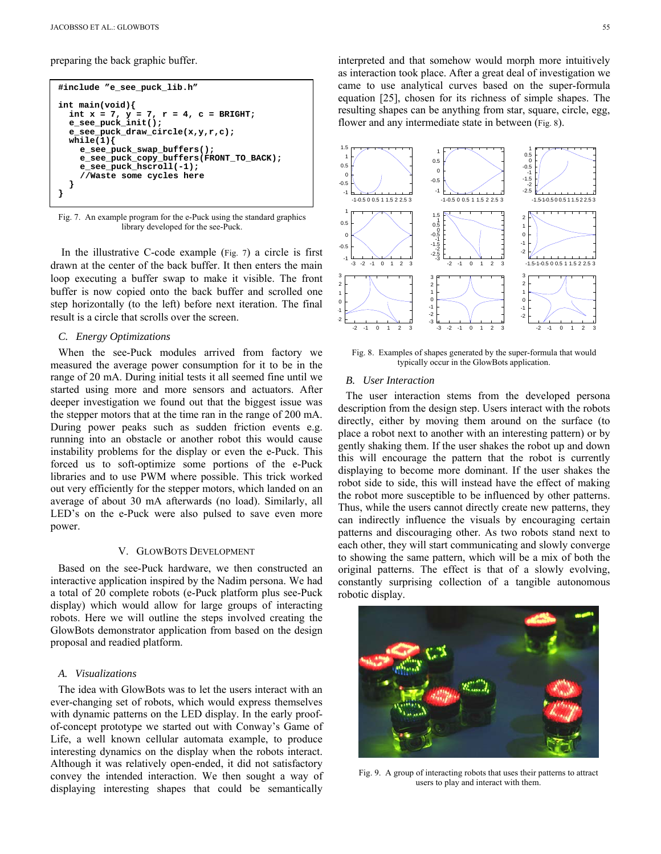preparing the back graphic buffer.

```
#include "e_see_puck_lib.h"
int main(void){ 
 int x = 7, y = 7, r = 4, c = BRIGHT; 
  e_see_puck_init(); 
  e_see_puck_draw_circle(x,y,r,c); 
   while(1){ 
     e_see_puck_swap_buffers(); 
     e_see_puck_copy_buffers(FRONT_TO_BACK); 
     e_see_puck_hscroll(-1); 
     //Waste some cycles here 
   } 
}
```
Fig. 7. An example program for the e-Puck using the standard graphics library developed for the see-Puck.

In the illustrative C-code example (Fig. 7) a circle is first drawn at the center of the back buffer. It then enters the main loop executing a buffer swap to make it visible. The front buffer is now copied onto the back buffer and scrolled one step horizontally (to the left) before next iteration. The final result is a circle that scrolls over the screen.

### *C. Energy Optimizations*

When the see-Puck modules arrived from factory we measured the average power consumption for it to be in the range of 20 mA. During initial tests it all seemed fine until we started using more and more sensors and actuators. After deeper investigation we found out that the biggest issue was the stepper motors that at the time ran in the range of 200 mA. During power peaks such as sudden friction events e.g. running into an obstacle or another robot this would cause instability problems for the display or even the e-Puck. This forced us to soft-optimize some portions of the e-Puck libraries and to use PWM where possible. This trick worked out very efficiently for the stepper motors, which landed on an average of about 30 mA afterwards (no load). Similarly, all LED's on the e-Puck were also pulsed to save even more power.

#### V. GLOWBOTS DEVELOPMENT

Based on the see-Puck hardware, we then constructed an interactive application inspired by the Nadim persona. We had a total of 20 complete robots (e-Puck platform plus see-Puck display) which would allow for large groups of interacting robots. Here we will outline the steps involved creating the GlowBots demonstrator application from based on the design proposal and readied platform.

## *A. Visualizations*

The idea with GlowBots was to let the users interact with an ever-changing set of robots, which would express themselves with dynamic patterns on the LED display. In the early proofof-concept prototype we started out with Conway's Game of Life, a well known cellular automata example, to produce interesting dynamics on the display when the robots interact. Although it was relatively open-ended, it did not satisfactory convey the intended interaction. We then sought a way of displaying interesting shapes that could be semantically interpreted and that somehow would morph more intuitively as interaction took place. After a great deal of investigation we came to use analytical curves based on the super-formula equation [25], chosen for its richness of simple shapes. The resulting shapes can be anything from star, square, circle, egg, flower and any intermediate state in between (Fig. 8).



Fig. 8. Examples of shapes generated by the super-formula that would typically occur in the GlowBots application.

#### *B. User Interaction*

The user interaction stems from the developed persona description from the design step. Users interact with the robots directly, either by moving them around on the surface (to place a robot next to another with an interesting pattern) or by gently shaking them. If the user shakes the robot up and down this will encourage the pattern that the robot is currently displaying to become more dominant. If the user shakes the robot side to side, this will instead have the effect of making the robot more susceptible to be influenced by other patterns. Thus, while the users cannot directly create new patterns, they can indirectly influence the visuals by encouraging certain patterns and discouraging other. As two robots stand next to each other, they will start communicating and slowly converge to showing the same pattern, which will be a mix of both the original patterns. The effect is that of a slowly evolving, constantly surprising collection of a tangible autonomous robotic display.



Fig. 9. A group of interacting robots that uses their patterns to attract users to play and interact with them.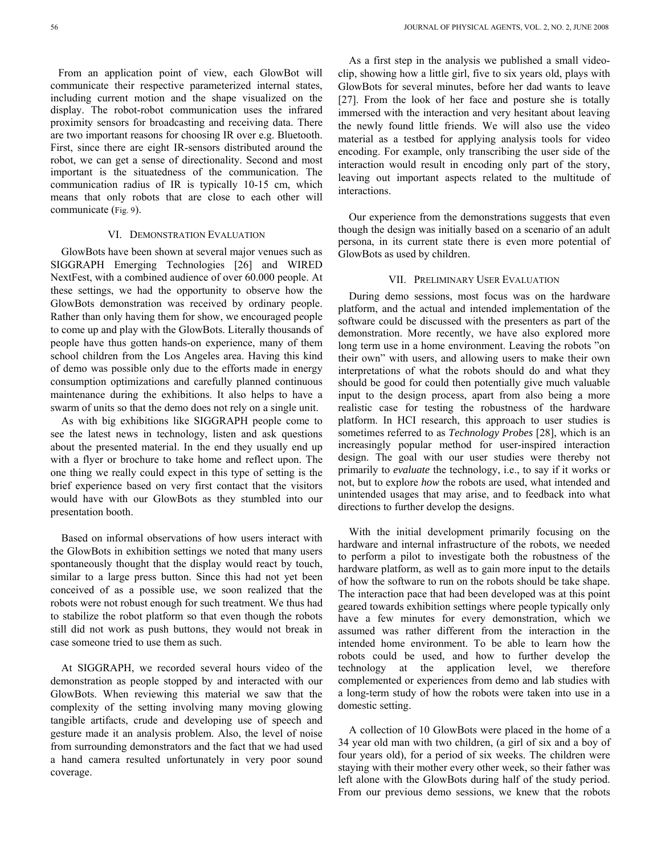From an application point of view, each GlowBot will communicate their respective parameterized internal states, including current motion and the shape visualized on the display. The robot-robot communication uses the infrared proximity sensors for broadcasting and receiving data. There are two important reasons for choosing IR over e.g. Bluetooth. First, since there are eight IR-sensors distributed around the robot, we can get a sense of directionality. Second and most important is the situatedness of the communication. The communication radius of IR is typically 10-15 cm, which means that only robots that are close to each other will communicate (Fig. 9).

#### VI. DEMONSTRATION EVALUATION

GlowBots have been shown at several major venues such as SIGGRAPH Emerging Technologies [26] and WIRED NextFest, with a combined audience of over 60.000 people. At these settings, we had the opportunity to observe how the GlowBots demonstration was received by ordinary people. Rather than only having them for show, we encouraged people to come up and play with the GlowBots. Literally thousands of people have thus gotten hands-on experience, many of them school children from the Los Angeles area. Having this kind of demo was possible only due to the efforts made in energy consumption optimizations and carefully planned continuous maintenance during the exhibitions. It also helps to have a swarm of units so that the demo does not rely on a single unit.

As with big exhibitions like SIGGRAPH people come to see the latest news in technology, listen and ask questions about the presented material. In the end they usually end up with a flyer or brochure to take home and reflect upon. The one thing we really could expect in this type of setting is the brief experience based on very first contact that the visitors would have with our GlowBots as they stumbled into our presentation booth.

Based on informal observations of how users interact with the GlowBots in exhibition settings we noted that many users spontaneously thought that the display would react by touch, similar to a large press button. Since this had not yet been conceived of as a possible use, we soon realized that the robots were not robust enough for such treatment. We thus had to stabilize the robot platform so that even though the robots still did not work as push buttons, they would not break in case someone tried to use them as such.

At SIGGRAPH, we recorded several hours video of the demonstration as people stopped by and interacted with our GlowBots. When reviewing this material we saw that the complexity of the setting involving many moving glowing tangible artifacts, crude and developing use of speech and gesture made it an analysis problem. Also, the level of noise from surrounding demonstrators and the fact that we had used a hand camera resulted unfortunately in very poor sound coverage.

As a first step in the analysis we published a small videoclip, showing how a little girl, five to six years old, plays with GlowBots for several minutes, before her dad wants to leave [27]. From the look of her face and posture she is totally immersed with the interaction and very hesitant about leaving the newly found little friends. We will also use the video material as a testbed for applying analysis tools for video encoding. For example, only transcribing the user side of the interaction would result in encoding only part of the story, leaving out important aspects related to the multitude of interactions.

Our experience from the demonstrations suggests that even though the design was initially based on a scenario of an adult persona, in its current state there is even more potential of GlowBots as used by children.

#### VII. PRELIMINARY USER EVALUATION

During demo sessions, most focus was on the hardware platform, and the actual and intended implementation of the software could be discussed with the presenters as part of the demonstration. More recently, we have also explored more long term use in a home environment. Leaving the robots "on their own" with users, and allowing users to make their own interpretations of what the robots should do and what they should be good for could then potentially give much valuable input to the design process, apart from also being a more realistic case for testing the robustness of the hardware platform. In HCI research, this approach to user studies is sometimes referred to as *Technology Probes* [28], which is an increasingly popular method for user-inspired interaction design. The goal with our user studies were thereby not primarily to *evaluate* the technology, i.e., to say if it works or not, but to explore *how* the robots are used, what intended and unintended usages that may arise, and to feedback into what directions to further develop the designs.

With the initial development primarily focusing on the hardware and internal infrastructure of the robots, we needed to perform a pilot to investigate both the robustness of the hardware platform, as well as to gain more input to the details of how the software to run on the robots should be take shape. The interaction pace that had been developed was at this point geared towards exhibition settings where people typically only have a few minutes for every demonstration, which we assumed was rather different from the interaction in the intended home environment. To be able to learn how the robots could be used, and how to further develop the technology at the application level, we therefore complemented or experiences from demo and lab studies with a long-term study of how the robots were taken into use in a domestic setting.

A collection of 10 GlowBots were placed in the home of a 34 year old man with two children, (a girl of six and a boy of four years old), for a period of six weeks. The children were staying with their mother every other week, so their father was left alone with the GlowBots during half of the study period. From our previous demo sessions, we knew that the robots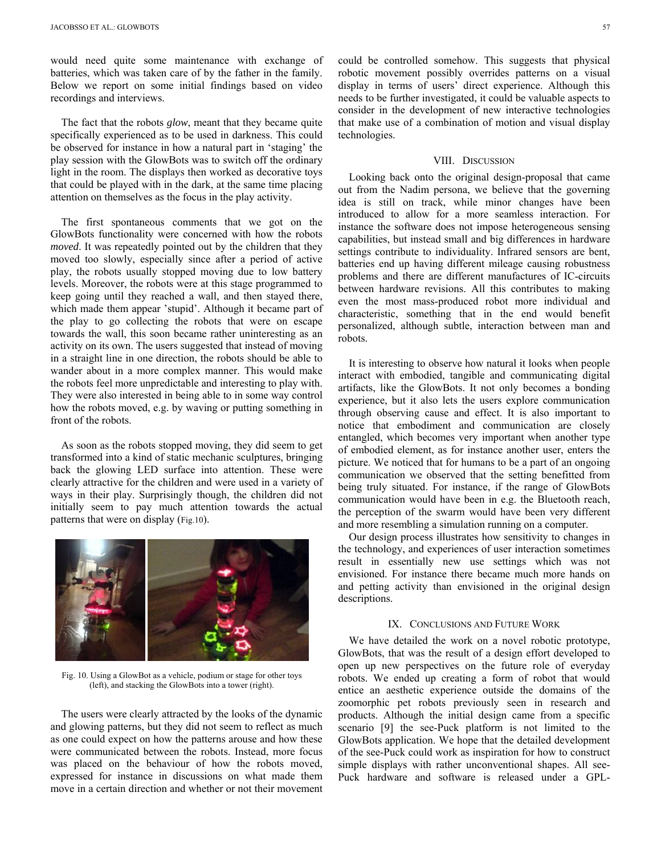would need quite some maintenance with exchange of batteries, which was taken care of by the father in the family. Below we report on some initial findings based on video recordings and interviews.

The fact that the robots *glow*, meant that they became quite specifically experienced as to be used in darkness. This could be observed for instance in how a natural part in 'staging' the play session with the GlowBots was to switch off the ordinary light in the room. The displays then worked as decorative toys that could be played with in the dark, at the same time placing attention on themselves as the focus in the play activity.

The first spontaneous comments that we got on the GlowBots functionality were concerned with how the robots *moved*. It was repeatedly pointed out by the children that they moved too slowly, especially since after a period of active play, the robots usually stopped moving due to low battery levels. Moreover, the robots were at this stage programmed to keep going until they reached a wall, and then stayed there, which made them appear 'stupid'. Although it became part of the play to go collecting the robots that were on escape towards the wall, this soon became rather uninteresting as an activity on its own. The users suggested that instead of moving in a straight line in one direction, the robots should be able to wander about in a more complex manner. This would make the robots feel more unpredictable and interesting to play with. They were also interested in being able to in some way control how the robots moved, e.g. by waving or putting something in front of the robots.

As soon as the robots stopped moving, they did seem to get transformed into a kind of static mechanic sculptures, bringing back the glowing LED surface into attention. These were clearly attractive for the children and were used in a variety of ways in their play. Surprisingly though, the children did not initially seem to pay much attention towards the actual patterns that were on display (Fig.10).



Fig. 10. Using a GlowBot as a vehicle, podium or stage for other toys (left), and stacking the GlowBots into a tower (right).

The users were clearly attracted by the looks of the dynamic and glowing patterns, but they did not seem to reflect as much as one could expect on how the patterns arouse and how these were communicated between the robots. Instead, more focus was placed on the behaviour of how the robots moved, expressed for instance in discussions on what made them move in a certain direction and whether or not their movement

could be controlled somehow. This suggests that physical robotic movement possibly overrides patterns on a visual display in terms of users' direct experience. Although this needs to be further investigated, it could be valuable aspects to consider in the development of new interactive technologies that make use of a combination of motion and visual display technologies.

## VIII. DISCUSSION

Looking back onto the original design-proposal that came out from the Nadim persona, we believe that the governing idea is still on track, while minor changes have been introduced to allow for a more seamless interaction. For instance the software does not impose heterogeneous sensing capabilities, but instead small and big differences in hardware settings contribute to individuality. Infrared sensors are bent, batteries end up having different mileage causing robustness problems and there are different manufactures of IC-circuits between hardware revisions. All this contributes to making even the most mass-produced robot more individual and characteristic, something that in the end would benefit personalized, although subtle, interaction between man and robots.

It is interesting to observe how natural it looks when people interact with embodied, tangible and communicating digital artifacts, like the GlowBots. It not only becomes a bonding experience, but it also lets the users explore communication through observing cause and effect. It is also important to notice that embodiment and communication are closely entangled, which becomes very important when another type of embodied element, as for instance another user, enters the picture. We noticed that for humans to be a part of an ongoing communication we observed that the setting benefitted from being truly situated. For instance, if the range of GlowBots communication would have been in e.g. the Bluetooth reach, the perception of the swarm would have been very different and more resembling a simulation running on a computer.

Our design process illustrates how sensitivity to changes in the technology, and experiences of user interaction sometimes result in essentially new use settings which was not envisioned. For instance there became much more hands on and petting activity than envisioned in the original design descriptions.

## IX. CONCLUSIONS AND FUTURE WORK

We have detailed the work on a novel robotic prototype, GlowBots, that was the result of a design effort developed to open up new perspectives on the future role of everyday robots. We ended up creating a form of robot that would entice an aesthetic experience outside the domains of the zoomorphic pet robots previously seen in research and products. Although the initial design came from a specific scenario [9] the see-Puck platform is not limited to the GlowBots application. We hope that the detailed development of the see-Puck could work as inspiration for how to construct simple displays with rather unconventional shapes. All see-Puck hardware and software is released under a GPL-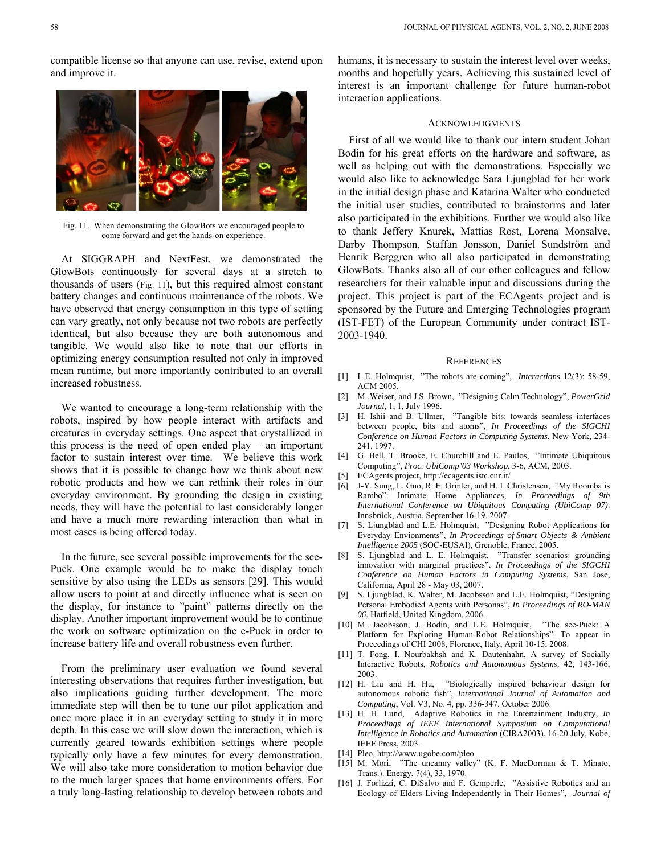compatible license so that anyone can use, revise, extend upon and improve it.



At SIGGRAPH and NextFest, we demonstrated the GlowBots continuously for several days at a stretch to thousands of users (Fig. 11), but this required almost constant battery changes and continuous maintenance of the robots. We have observed that energy consumption in this type of setting can vary greatly, not only because not two robots are perfectly identical, but also because they are both autonomous and tangible. We would also like to note that our efforts in optimizing energy consumption resulted not only in improved mean runtime, but more importantly contributed to an overall increased robustness.

We wanted to encourage a long-term relationship with the robots, inspired by how people interact with artifacts and creatures in everyday settings. One aspect that crystallized in this process is the need of open ended play – an important factor to sustain interest over time. We believe this work shows that it is possible to change how we think about new robotic products and how we can rethink their roles in our everyday environment. By grounding the design in existing needs, they will have the potential to last considerably longer and have a much more rewarding interaction than what in most cases is being offered today.

In the future, see several possible improvements for the see-Puck. One example would be to make the display touch sensitive by also using the LEDs as sensors [29]. This would allow users to point at and directly influence what is seen on the display, for instance to "paint" patterns directly on the display. Another important improvement would be to continue the work on software optimization on the e-Puck in order to increase battery life and overall robustness even further.

From the preliminary user evaluation we found several interesting observations that requires further investigation, but also implications guiding further development. The more immediate step will then be to tune our pilot application and once more place it in an everyday setting to study it in more depth. In this case we will slow down the interaction, which is currently geared towards exhibition settings where people typically only have a few minutes for every demonstration. We will also take more consideration to motion behavior due to the much larger spaces that home environments offers. For a truly long-lasting relationship to develop between robots and humans, it is necessary to sustain the interest level over weeks, months and hopefully years. Achieving this sustained level of interest is an important challenge for future human-robot interaction applications.

#### ACKNOWLEDGMENTS

First of all we would like to thank our intern student Johan Bodin for his great efforts on the hardware and software, as well as helping out with the demonstrations. Especially we would also like to acknowledge Sara Ljungblad for her work in the initial design phase and Katarina Walter who conducted the initial user studies, contributed to brainstorms and later also participated in the exhibitions. Further we would also like to thank Jeffery Knurek, Mattias Rost, Lorena Monsalve, Darby Thompson, Staffan Jonsson, Daniel Sundström and Henrik Berggren who all also participated in demonstrating GlowBots. Thanks also all of our other colleagues and fellow researchers for their valuable input and discussions during the project. This project is part of the ECAgents project and is sponsored by the Future and Emerging Technologies program (IST-FET) of the European Community under contract IST-2003-1940.

#### **REFERENCES**

- [1] L.E. Holmquist, "The robots are coming", *Interactions* 12(3): 58-59, ACM 2005.
- [2] M. Weiser, and J.S. Brown, "Designing Calm Technology", *PowerGrid Journal*, 1, 1, July 1996.
- [3] H. Ishii and B. Ullmer, "Tangible bits: towards seamless interfaces between people, bits and atoms", *In Proceedings of the SIGCHI Conference on Human Factors in Computing Systems*, New York, 234- 241. 1997.
- [4] G. Bell, T. Brooke, E. Churchill and E. Paulos, "Intimate Ubiquitous Computing", *Proc. UbiComp'03 Workshop*, 3-6, ACM, 2003.
- [5] ECAgents project, http://ecagents.istc.cnr.it/
- [6] J-Y. Sung, L. Guo, R. E. Grinter, and H. I. Christensen, "My Roomba is Rambo": Intimate Home Appliances, *In Proceedings of 9th International Conference on Ubiquitous Computing (UbiComp 07)*. Innsbrück, Austria, September 16-19. 2007.
- [7] S. Ljungblad and L.E. Holmquist, "Designing Robot Applications for Everyday Envionments", *In Proceedings of Smart Objects & Ambient Intelligence 2005* (SOC-EUSAI), Grenoble, France, 2005.
- [8] S. Ljungblad and L. E. Holmquist, "Transfer scenarios: grounding innovation with marginal practices". *In Proceedings of the SIGCHI Conference on Human Factors in Computing Systems*, San Jose, California, April 28 - May 03, 2007.
- [9] S. Ljungblad, K. Walter, M. Jacobsson and L.E. Holmquist, "Designing Personal Embodied Agents with Personas", *In Proceedings of RO-MAN 06*, Hatfield, United Kingdom, 2006.
- [10] M. Jacobsson, J. Bodin, and L.E. Holmquist, "The see-Puck: A Platform for Exploring Human-Robot Relationships". To appear in Proceedings of CHI 2008, Florence, Italy, April 10-15, 2008.
- [11] T. Fong, I. Nourbakhsh and K. Dautenhahn, A survey of Socially Interactive Robots, *Robotics and Autonomous Systems,* 42, 143-166, 2003.
- [12] H. Liu and H. Hu, "Biologically inspired behaviour design for autonomous robotic fish", *International Journal of Automation and Computing*, Vol. V3, No. 4, pp. 336-347. October 2006.
- [13] H. H. Lund, Adaptive Robotics in the Entertainment Industry, *In Proceedings of IEEE International Symposium on Computational Intelligence in Robotics and Automation* (CIRA2003), 16-20 July, Kobe, IEEE Press, 2003.
- [14] Pleo, http://www.ugobe.com/pleo
- [15] M. Mori, "The uncanny valley" (K. F. MacDorman & T. Minato, Trans.). Energy, 7(4), 33, 1970.
- [16] J. Forlizzi, C. DiSalvo and F. Gemperle, "Assistive Robotics and an Ecology of Elders Living Independently in Their Homes", *Journal of*